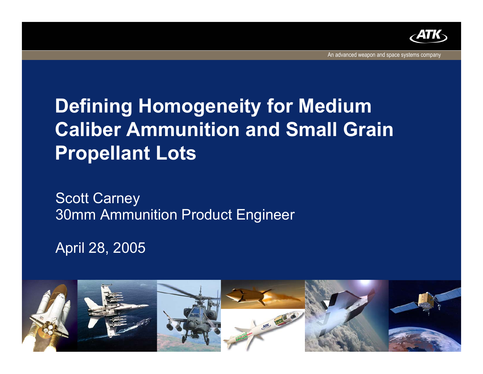

# **Defining Homogeneity for Medium Caliber Ammunition and Small Grain Propellant Lots**

Scott Carney 30mm Ammunition Product Engineer

April 28, 2005

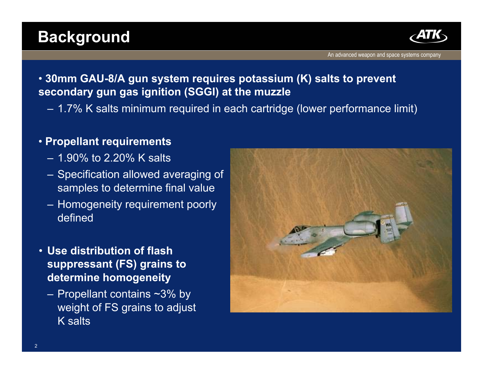### **Background**



#### • **30mm GAU-8/A gun system requires potassium (K) salts to prevent secondary gun gas ignition (SGGI) at the muzzle**

– 1.7% K salts minimum required in each cartridge (lower performance limit)

#### • **Propellant requirements**

- 1.90% to 2.20% K salts
- Specification allowed averaging of samples to determine final value
- Homogeneity requirement poorly defined
- **Use distribution of flash suppressant (FS) grains to determine homogeneity**
	- Propellant contains ~3% by weight of FS grains to adjust K salts

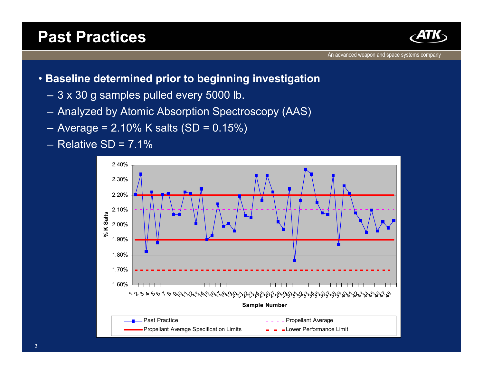### **Past Practices**



#### • **Baseline determined prior to beginning investigation**

- 3 x 30 g samples pulled every 5000 lb.
- Analyzed by Atomic Absorption Spectroscopy (AAS)
- Average = 2.10% K salts (SD = 0.15%)
- Relative SD = 7.1%

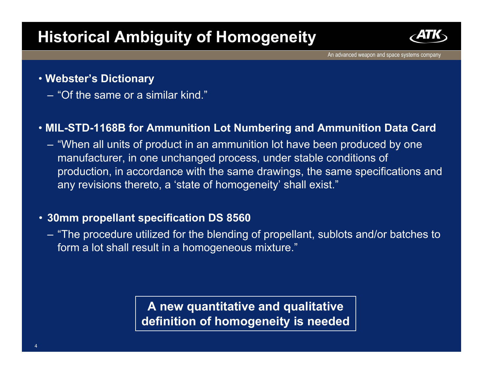# **Historical Ambiguity of Homogeneity**



#### • **Webster's Dictionary**

– "Of the same or a similar kind."

#### • **MIL-STD-1168B for Ammunition Lot Numbering and Ammunition Data Card**

– "When all units of product in an ammunition lot have been produced by one manufacturer, in one unchanged process, under stable conditions of production, in accordance with the same drawings, the same specifications and any revisions thereto, a 'state of homogeneity' shall exist."

#### • **30mm propellant specification DS 8560**

– "The procedure utilized for the blending of propellant, sublots and/or batches to form a lot shall result in a homogeneous mixture."

> **A new quantitative and qualitative definition of homogeneity is needed**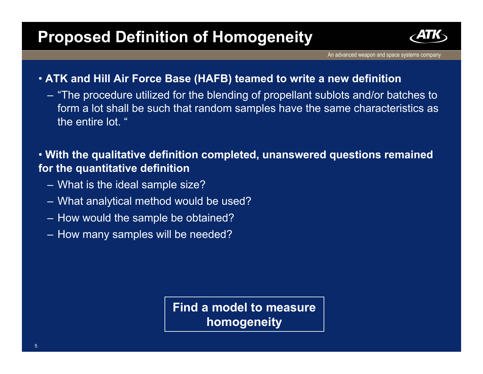### **Proposed Definition of Homogeneity**



#### • **ATK and Hill Air Force Base (HAFB) teamed to write a new definition**

– "The procedure utilized for the blending of propellant sublots and/or batches to form a lot shall be such that random samples have the same characteristics as the entire lot. "

#### • **With the qualitative definition completed, unanswered questions remained for the quantitative definition**

- What is the ideal sample size?
- What analytical method would be used?
- How would the sample be obtained?
- How many samples will be needed?

**Find a model to measure homogeneity**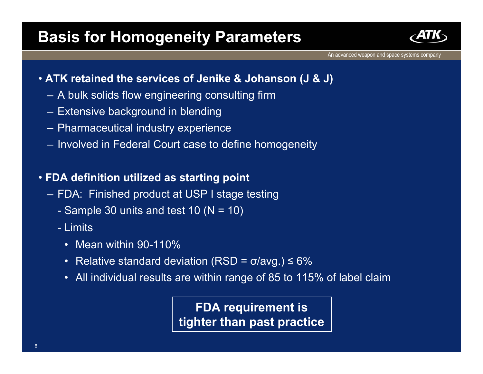### **Basis for Homogeneity Parameters**



An advanced weapon and space systems company

#### • **ATK retained the services of Jenike & Johanson (J & J)**

- A bulk solids flow engineering consulting firm
- Extensive background in blending
- Pharmaceutical industry experience
- Involved in Federal Court case to define homogeneity

#### • **FDA definition utilized as starting point**

- FDA: Finished product at USP I stage testing
	- Sample 30 units and test 10 (N = 10)
	- Limits
		- Mean within 90-110%
		- Relative standard deviation (RSD = σ/avg.) ≤ 6%
		- All individual results are within range of 85 to 115% of label claim

**FDA requirement is tighter than past practice**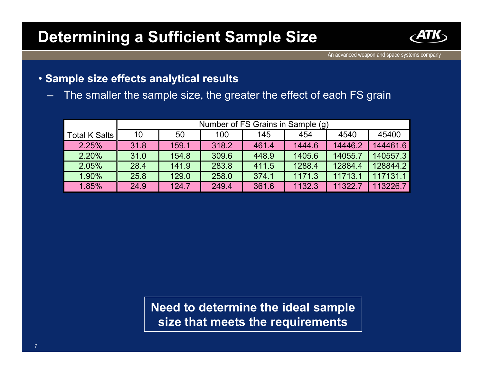### **Determining a Sufficient Sample Size**



#### • **Sample size effects analytical results**

–The smaller the sample size, the greater the effect of each FS grain

|                      | Number of FS Grains in Sample (g) |       |       |       |        |         |          |  |  |  |
|----------------------|-----------------------------------|-------|-------|-------|--------|---------|----------|--|--|--|
| <b>Total K Salts</b> | 10                                | 50    | 100   | 145   | 454    | 4540    | 45400    |  |  |  |
| 2.25%                | 31.8                              | 159.1 | 318.2 | 461.4 | 1444.6 | 14446.2 | 144461.6 |  |  |  |
| 2.20%                | 31.0                              | 154.8 | 309.6 | 448.9 | 1405.6 | 14055.7 | 140557.3 |  |  |  |
| 2.05%                | 28.4                              | 141.9 | 283.8 | 411.5 | 1288.4 | 12884.4 | 128844.2 |  |  |  |
| 1.90%                | 25.8                              | 129.0 | 258.0 | 374.1 | 1171.3 | 11713.1 | 117131.1 |  |  |  |
| 1.85%                | 24.9                              | 124.7 | 249.4 | 361.6 | 1132.3 | 11322.7 | 113226.7 |  |  |  |

**Need to determine the ideal sample size that meets the requirements**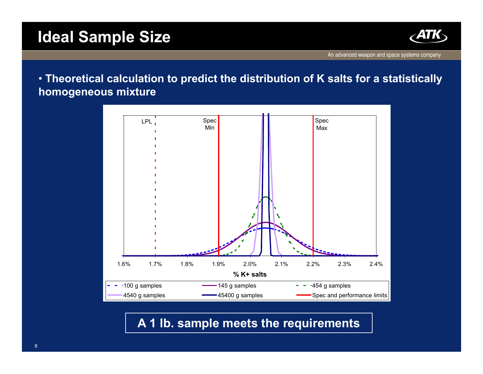

#### • **Theoretical calculation to predict the distribution of K salts for a statistically homogeneous mixture**



#### **A 1 lb. sample meets the requirements**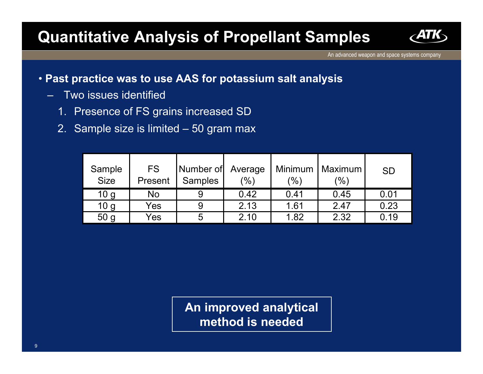### **Quantitative Analysis of Propellant Samples**



#### • **Past practice was to use AAS for potassium salt analysis**

- – Two issues identified
	- 1. Presence of FS grains increased SD
	- 2. Sample size is limited 50 gram max

| Sample<br><b>Size</b> | <b>FS</b><br>Present | Number of<br><b>Samples</b> | Average<br>$\frac{1}{2}$ | Minimum<br>$(\%)$ | Maximum<br>$(\%)$ | <b>SD</b> |
|-----------------------|----------------------|-----------------------------|--------------------------|-------------------|-------------------|-----------|
| 10 g                  | No                   |                             | 0.42                     | 0.41              | 0.45              | 0.01      |
| 10 g                  | Yes                  | 9                           | 2.13                     | 1.61              | 2.47              | 0.23      |
| 50 <sub>g</sub>       | Yes                  | 5                           | 2.10                     | 1.82              | 2.32              | 0.19      |

**An improved analytical method is needed**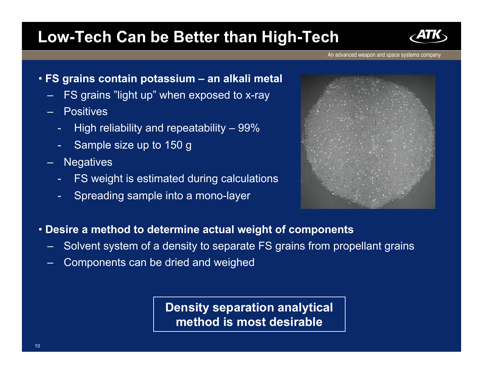### **Low-Tech Can be Better than High-Tech**



An advanced weapon and space systems company

#### • **FS grains contain potassium – an alkali metal**

- –FS grains "light up" when exposed to x-ray
- –**Positives** 
	- -High reliability and repeatability – 99%
	- Sample size up to 150 g
- –**Negatives** 
	- FS weight is estimated during calculations
	- -Spreading sample into a mono-layer



#### • **Desire a method to determine actual weight of components**

- Solvent system of a density to separate FS grains from propellant grains
- Components can be dried and weighed

**Density separation analytical method is most desirable**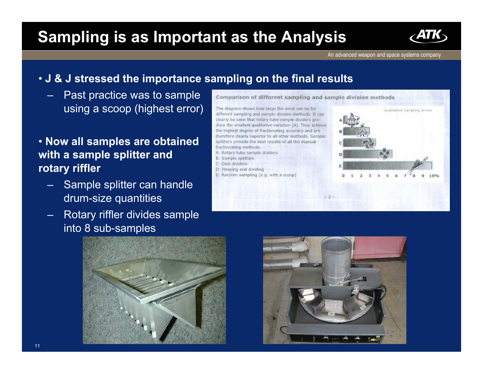# **Sampling is as Important as the Analysis**



#### • **J & J stressed the importance sampling on the final results**

- – Past practice was to sample using a scoop (highest error)
- **Now all samples are obtained with a sample splitter and rotary riffler**
	- – Sample splitter can handle drum-size quantities
	- Rotary riffler divides sample into 8 sub-samples



The diagram shows how large the error can be for Qualitative sampling errors different sampling and sample division methods. It can clearly be seen that rotary tube sample dividers produce the smallest qualitative variation (A). They achieve the highest degree of fractionating accuracy and are therefore clearly superior to all other methods. Sample splitters provide the best results of all the manual fractionating methods. A: Rotary tube sample dividers **B:** Sample splitters C: Disk dividers D: Heaping and dividing E: Random sampling (e.g. with a scoop)

Comparison of different sampling and sample division methods

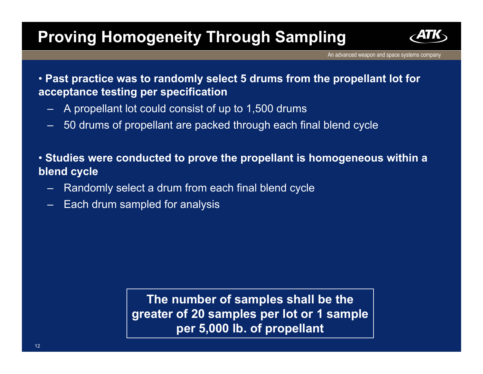# **Proving Homogeneity Through Sampling**



#### • **Past practice was to randomly select 5 drums from the propellant lot for acceptance testing per specification**

- A propellant lot could consist of up to 1,500 drums
- –50 drums of propellant are packed through each final blend cycle

• **Studies were conducted to prove the propellant is homogeneous within a blend cycle**

- –Randomly select a drum from each final blend cycle
- –Each drum sampled for analysis

**The number of samples shall be the greater of 20 samples per lot or 1 sample per 5,000 lb. of propellant**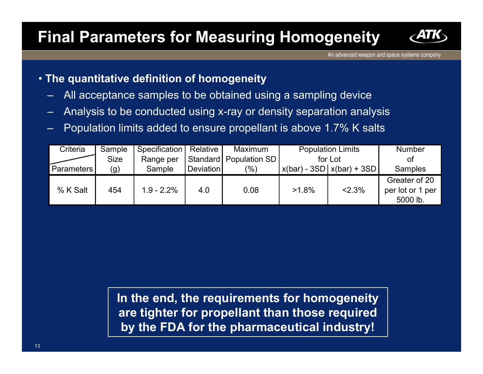# **Final Parameters for Measuring Homogeneity**



#### • **The quantitative definition of homogeneity**

- –All acceptance samples to be obtained using a sampling device
- –Analysis to be conducted using x-ray or density separation analysis
- –Population limits added to ensure propellant is above 1.7% K salts

| Criteria          | Sample      | Specification | Relative         | Maximum                  | <b>Population Limits</b> |                               | <b>Number</b>                                 |
|-------------------|-------------|---------------|------------------|--------------------------|--------------------------|-------------------------------|-----------------------------------------------|
|                   | <b>Size</b> | Range per     |                  | Standard   Population SD | for Lot                  |                               | Оt                                            |
| <b>Parameters</b> | (g)         | Sample        | <b>Deviation</b> | (%)                      |                          | $x(bar) - 3SD$ $x(bar) + 3SD$ | <b>Samples</b>                                |
| % K Salt          | 454         | $1.9 - 2.2\%$ | 4.0              | 0.08                     | $>1.8\%$                 | 2.3%                          | Greater of 20<br>per lot or 1 per<br>5000 lb. |

**In the end, the requirements for homogeneity are tighter for propellant than those required by the FDA for the pharmaceutical industry!**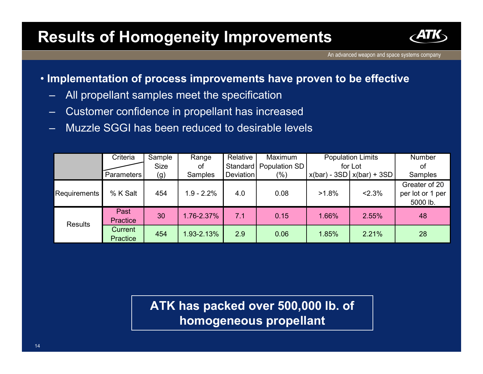# **Results of Homogeneity Improvements**



#### • **Implementation of process improvements have proven to be effective**

- All propellant samples meet the specification
- –Customer confidence in propellant has increased
- Muzzle SGGI has been reduced to desirable levels

|                | Criteria            | Sample      | Range          | Relative  | Maximum                  | <b>Population Limits</b><br>for Lot |                                       | Number                                        |
|----------------|---------------------|-------------|----------------|-----------|--------------------------|-------------------------------------|---------------------------------------|-----------------------------------------------|
|                |                     | <b>Size</b> | οf             |           | Standard   Population SD |                                     |                                       | оf                                            |
|                | <b>Parameters</b>   | (g)         | <b>Samples</b> | Deviation | (%)                      |                                     | $x(bar) - 3SD \mid x(bar) + 3SD \mid$ | Samples                                       |
| Requirements   | % K Salt            | 454         | $1.9 - 2.2\%$  | 4.0       | 0.08                     | $>1.8\%$                            | 2.3%                                  | Greater of 20<br>per lot or 1 per<br>5000 lb. |
| <b>Results</b> | Past<br>Practice    | 30          | 1.76-2.37%     | 7.1       | 0.15                     | 1.66%                               | 2.55%                                 | 48                                            |
|                | Current<br>Practice | 454         | 1.93-2.13%     | 2.9       | 0.06                     | 1.85%                               | 2.21%                                 | 28                                            |

**ATK has packed over 500,000 lb. of homogeneous propellant**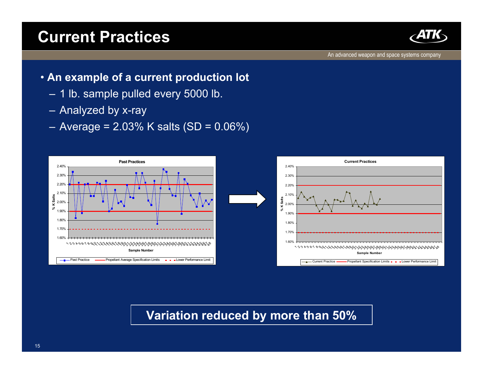### **Current Practices**



- **An example of a current production lot**
	- 1 lb. sample pulled every 5000 lb.
	- Analyzed by x-ray
	- Average = 2.03% K salts (SD = 0.06%)



**Variation reduced by more than 50%**